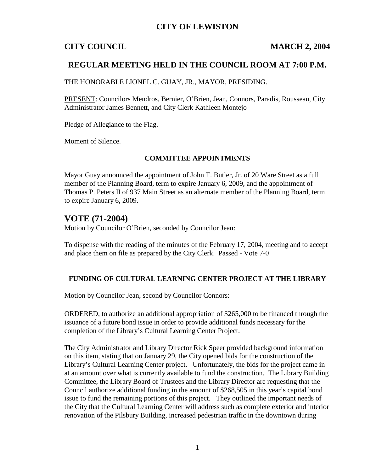## **CITY OF LEWISTON**

## **CITY COUNCIL MARCH 2, 2004**

## **REGULAR MEETING HELD IN THE COUNCIL ROOM AT 7:00 P.M.**

THE HONORABLE LIONEL C. GUAY, JR., MAYOR, PRESIDING.

PRESENT: Councilors Mendros, Bernier, O'Brien, Jean, Connors, Paradis, Rousseau, City Administrator James Bennett, and City Clerk Kathleen Montejo

Pledge of Allegiance to the Flag.

Moment of Silence.

#### **COMMITTEE APPOINTMENTS**

Mayor Guay announced the appointment of John T. Butler, Jr. of 20 Ware Street as a full member of the Planning Board, term to expire January 6, 2009, and the appointment of Thomas P. Peters II of 937 Main Street as an alternate member of the Planning Board, term to expire January 6, 2009.

## **VOTE (71-2004)**

Motion by Councilor O'Brien, seconded by Councilor Jean:

To dispense with the reading of the minutes of the February 17, 2004, meeting and to accept and place them on file as prepared by the City Clerk. Passed - Vote 7-0

#### **FUNDING OF CULTURAL LEARNING CENTER PROJECT AT THE LIBRARY**

Motion by Councilor Jean, second by Councilor Connors:

ORDERED, to authorize an additional appropriation of \$265,000 to be financed through the issuance of a future bond issue in order to provide additional funds necessary for the completion of the Library's Cultural Learning Center Project.

The City Administrator and Library Director Rick Speer provided background information on this item, stating that on January 29, the City opened bids for the construction of the Library's Cultural Learning Center project. Unfortunately, the bids for the project came in at an amount over what is currently available to fund the construction. The Library Building Committee, the Library Board of Trustees and the Library Director are requesting that the Council authorize additional funding in the amount of \$268,505 in this year's capital bond issue to fund the remaining portions of this project. They outlined the important needs of the City that the Cultural Learning Center will address such as complete exterior and interior renovation of the Pilsbury Building, increased pedestrian traffic in the downtown during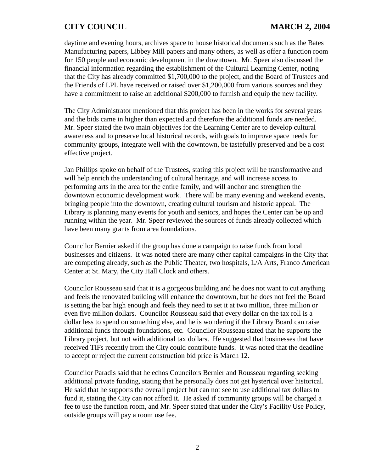daytime and evening hours, archives space to house historical documents such as the Bates Manufacturing papers, Libbey Mill papers and many others, as well as offer a function room for 150 people and economic development in the downtown. Mr. Speer also discussed the financial information regarding the establishment of the Cultural Learning Center, noting that the City has already committed \$1,700,000 to the project, and the Board of Trustees and the Friends of LPL have received or raised over \$1,200,000 from various sources and they have a commitment to raise an additional \$200,000 to furnish and equip the new facility.

The City Administrator mentioned that this project has been in the works for several years and the bids came in higher than expected and therefore the additional funds are needed. Mr. Speer stated the two main objectives for the Learning Center are to develop cultural awareness and to preserve local historical records, with goals to improve space needs for community groups, integrate well with the downtown, be tastefully preserved and be a cost effective project.

Jan Phillips spoke on behalf of the Trustees, stating this project will be transformative and will help enrich the understanding of cultural heritage, and will increase access to performing arts in the area for the entire family, and will anchor and strengthen the downtown economic development work. There will be many evening and weekend events, bringing people into the downtown, creating cultural tourism and historic appeal. The Library is planning many events for youth and seniors, and hopes the Center can be up and running within the year. Mr. Speer reviewed the sources of funds already collected which have been many grants from area foundations.

Councilor Bernier asked if the group has done a campaign to raise funds from local businesses and citizens. It was noted there are many other capital campaigns in the City that are competing already, such as the Public Theater, two hospitals, L/A Arts, Franco American Center at St. Mary, the City Hall Clock and others.

Councilor Rousseau said that it is a gorgeous building and he does not want to cut anything and feels the renovated building will enhance the downtown, but he does not feel the Board is setting the bar high enough and feels they need to set it at two million, three million or even five million dollars. Councilor Rousseau said that every dollar on the tax roll is a dollar less to spend on something else, and he is wondering if the Library Board can raise additional funds through foundations, etc. Councilor Rousseau stated that he supports the Library project, but not with additional tax dollars. He suggested that businesses that have received TIFs recently from the City could contribute funds. It was noted that the deadline to accept or reject the current construction bid price is March 12.

Councilor Paradis said that he echos Councilors Bernier and Rousseau regarding seeking additional private funding, stating that he personally does not get hysterical over historical. He said that he supports the overall project but can not see to use additional tax dollars to fund it, stating the City can not afford it. He asked if community groups will be charged a fee to use the function room, and Mr. Speer stated that under the City's Facility Use Policy, outside groups will pay a room use fee.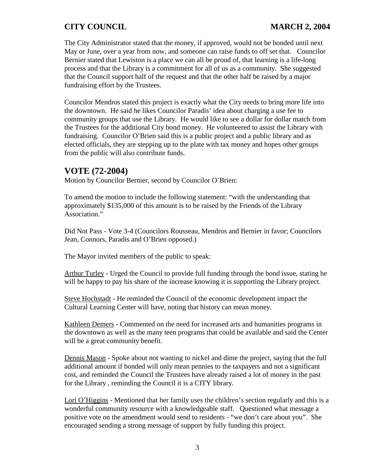The City Administrator stated that the money, if approved, would not be bonded until next May or June, over a year from now, and someone can raise funds to off set that. Councilor Bernier stated that Lewiston is a place we can all be proud of, that learning is a life-long process and that the Library is a commitment for all of us as a community. She suggested that the Council support half of the request and that the other half be raised by a major fundraising effort by the Trustees.

Councilor Mendros stated this project is exactly what the City needs to bring more life into the downtown. He said he likes Councilor Paradis' idea about charging a use fee to community groups that use the Library. He would like to see a dollar for dollar match from the Trustees for the additional City bond money. He volunteered to assist the Library with fundraising. Councilor O'Brien said this is a public project and a public library and as elected officials, they are stepping up to the plate with tax money and hopes other groups from the public will also contribute funds.

# **VOTE (72-2004)**

Motion by Councilor Bernier, second by Councilor O'Brien:

To amend the motion to include the following statement: "with the understanding that approximately \$135,000 of this amount is to be raised by the Friends of the Library Association."

Did Not Pass - Vote 3-4 (Councilors Rousseau, Mendros and Bernier in favor; Councilors Jean, Connors, Paradis and O'Brien opposed.)

The Mayor invited members of the public to speak:

Arthur Turley - Urged the Council to provide full funding through the bond issue, stating he will be happy to pay his share of the increase knowing it is supporting the Library project.

Steve Hochstadt - He reminded the Council of the economic development impact the Cultural Learning Center will have, noting that history can mean money.

Kathleen Demers - Commented on the need for increased arts and humanities programs in the downtown as well as the many teen programs that could be available and said the Center will be a great community benefit.

Dennis Mason - Spoke about not wanting to nickel and dime the project, saying that the full additional amount if bonded will only mean pennies to the taxpayers and not a significant cost, and reminded the Council the Trustees have already raised a lot of money in the past for the Library , reminding the Council it is a CITY library.

Lori O'Higgins - Mentioned that her family uses the children's section regularly and this is a wonderful community resource with a knowledgeable staff. Questioned what message a positive vote on the amendment would send to residents - "we don't care about you". She encouraged sending a strong message of support by fully funding this project.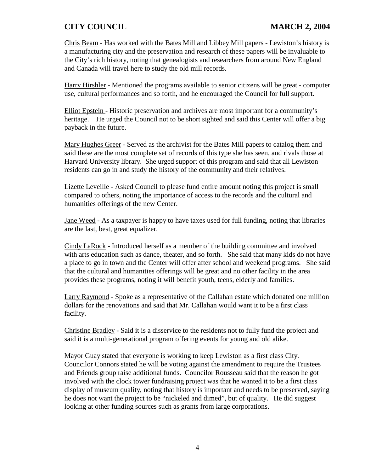Chris Beam - Has worked with the Bates Mill and Libbey Mill papers - Lewiston's history is a manufacturing city and the preservation and research of these papers will be invaluable to the City's rich history, noting that genealogists and researchers from around New England and Canada will travel here to study the old mill records.

Harry Hirshler - Mentioned the programs available to senior citizens will be great - computer use, cultural performances and so forth, and he encouraged the Council for full support.

Elliot Epstein - Historic preservation and archives are most important for a community's heritage. He urged the Council not to be short sighted and said this Center will offer a big payback in the future.

Mary Hughes Greer - Served as the archivist for the Bates Mill papers to catalog them and said these are the most complete set of records of this type she has seen, and rivals those at Harvard University library. She urged support of this program and said that all Lewiston residents can go in and study the history of the community and their relatives.

Lizette Leveille - Asked Council to please fund entire amount noting this project is small compared to others, noting the importance of access to the records and the cultural and humanities offerings of the new Center.

Jane Weed - As a taxpayer is happy to have taxes used for full funding, noting that libraries are the last, best, great equalizer.

Cindy LaRock - Introduced herself as a member of the building committee and involved with arts education such as dance, theater, and so forth. She said that many kids do not have a place to go in town and the Center will offer after school and weekend programs. She said that the cultural and humanities offerings will be great and no other facility in the area provides these programs, noting it will benefit youth, teens, elderly and families.

Larry Raymond - Spoke as a representative of the Callahan estate which donated one million dollars for the renovations and said that Mr. Callahan would want it to be a first class facility.

Christine Bradley - Said it is a disservice to the residents not to fully fund the project and said it is a multi-generational program offering events for young and old alike.

Mayor Guay stated that everyone is working to keep Lewiston as a first class City. Councilor Connors stated he will be voting against the amendment to require the Trustees and Friends group raise additional funds. Councilor Rousseau said that the reason he got involved with the clock tower fundraising project was that he wanted it to be a first class display of museum quality, noting that history is important and needs to be preserved, saying he does not want the project to be "nickeled and dimed", but of quality. He did suggest looking at other funding sources such as grants from large corporations.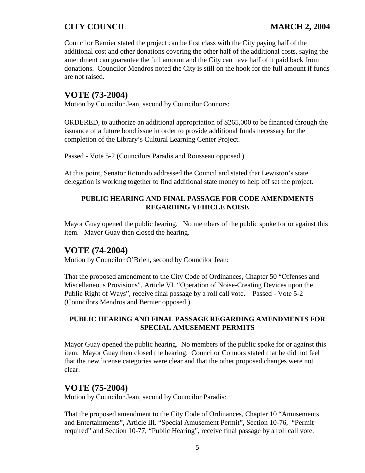Councilor Bernier stated the project can be first class with the City paying half of the additional cost and other donations covering the other half of the additional costs, saying the amendment can guarantee the full amount and the City can have half of it paid back from donations. Councilor Mendros noted the City is still on the hook for the full amount if funds are not raised.

# **VOTE (73-2004)**

Motion by Councilor Jean, second by Councilor Connors:

ORDERED, to authorize an additional appropriation of \$265,000 to be financed through the issuance of a future bond issue in order to provide additional funds necessary for the completion of the Library's Cultural Learning Center Project.

Passed - Vote 5-2 (Councilors Paradis and Rousseau opposed.)

At this point, Senator Rotundo addressed the Council and stated that Lewiston's state delegation is working together to find additional state money to help off set the project.

## **PUBLIC HEARING AND FINAL PASSAGE FOR CODE AMENDMENTS REGARDING VEHICLE NOISE**

Mayor Guay opened the public hearing. No members of the public spoke for or against this item. Mayor Guay then closed the hearing.

# **VOTE (74-2004)**

Motion by Councilor O'Brien, second by Councilor Jean:

That the proposed amendment to the City Code of Ordinances, Chapter 50 "Offenses and Miscellaneous Provisions", Article VI. "Operation of Noise-Creating Devices upon the Public Right of Ways", receive final passage by a roll call vote. Passed - Vote 5-2 (Councilors Mendros and Bernier opposed.)

#### **PUBLIC HEARING AND FINAL PASSAGE REGARDING AMENDMENTS FOR SPECIAL AMUSEMENT PERMITS**

Mayor Guay opened the public hearing. No members of the public spoke for or against this item. Mayor Guay then closed the hearing. Councilor Connors stated that he did not feel that the new license categories were clear and that the other proposed changes were not clear.

# **VOTE (75-2004)**

Motion by Councilor Jean, second by Councilor Paradis:

That the proposed amendment to the City Code of Ordinances, Chapter 10 "Amusements and Entertainments", Article III. "Special Amusement Permit", Section 10-76, "Permit required" and Section 10-77, "Public Hearing", receive final passage by a roll call vote.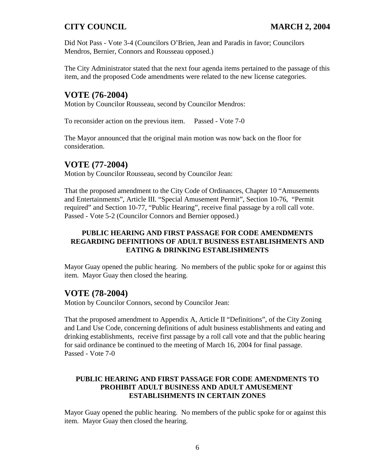Did Not Pass - Vote 3-4 (Councilors O'Brien, Jean and Paradis in favor; Councilors Mendros, Bernier, Connors and Rousseau opposed.)

The City Administrator stated that the next four agenda items pertained to the passage of this item, and the proposed Code amendments were related to the new license categories.

# **VOTE (76-2004)**

Motion by Councilor Rousseau, second by Councilor Mendros:

To reconsider action on the previous item. Passed - Vote 7-0

The Mayor announced that the original main motion was now back on the floor for consideration.

## **VOTE (77-2004)**

Motion by Councilor Rousseau, second by Councilor Jean:

That the proposed amendment to the City Code of Ordinances, Chapter 10 "Amusements and Entertainments", Article III. "Special Amusement Permit", Section 10-76, "Permit required" and Section 10-77, "Public Hearing", receive final passage by a roll call vote. Passed - Vote 5-2 (Councilor Connors and Bernier opposed.)

## **PUBLIC HEARING AND FIRST PASSAGE FOR CODE AMENDMENTS REGARDING DEFINITIONS OF ADULT BUSINESS ESTABLISHMENTS AND EATING & DRINKING ESTABLISHMENTS**

Mayor Guay opened the public hearing. No members of the public spoke for or against this item. Mayor Guay then closed the hearing.

## **VOTE (78-2004)**

Motion by Councilor Connors, second by Councilor Jean:

That the proposed amendment to Appendix A, Article II "Definitions", of the City Zoning and Land Use Code, concerning definitions of adult business establishments and eating and drinking establishments, receive first passage by a roll call vote and that the public hearing for said ordinance be continued to the meeting of March 16, 2004 for final passage. Passed - Vote 7-0

## **PUBLIC HEARING AND FIRST PASSAGE FOR CODE AMENDMENTS TO PROHIBIT ADULT BUSINESS AND ADULT AMUSEMENT ESTABLISHMENTS IN CERTAIN ZONES**

Mayor Guay opened the public hearing. No members of the public spoke for or against this item. Mayor Guay then closed the hearing.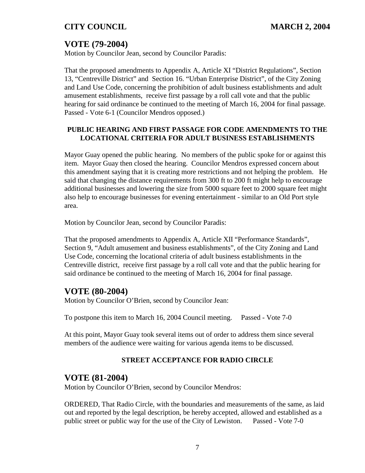# **VOTE (79-2004)**

Motion by Councilor Jean, second by Councilor Paradis:

That the proposed amendments to Appendix A, Article XI "District Regulations", Section 13, "Centreville District" and Section 16. "Urban Enterprise District", of the City Zoning and Land Use Code, concerning the prohibition of adult business establishments and adult amusement establishments, receive first passage by a roll call vote and that the public hearing for said ordinance be continued to the meeting of March 16, 2004 for final passage. Passed - Vote 6-1 (Councilor Mendros opposed.)

### **PUBLIC HEARING AND FIRST PASSAGE FOR CODE AMENDMENTS TO THE LOCATIONAL CRITERIA FOR ADULT BUSINESS ESTABLISHMENTS**

Mayor Guay opened the public hearing. No members of the public spoke for or against this item. Mayor Guay then closed the hearing. Councilor Mendros expressed concern about this amendment saying that it is creating more restrictions and not helping the problem. He said that changing the distance requirements from 300 ft to 200 ft might help to encourage additional businesses and lowering the size from 5000 square feet to 2000 square feet might also help to encourage businesses for evening entertainment - similar to an Old Port style area.

Motion by Councilor Jean, second by Councilor Paradis:

That the proposed amendments to Appendix A, Article XII "Performance Standards", Section 9, "Adult amusement and business establishments", of the City Zoning and Land Use Code, concerning the locational criteria of adult business establishments in the Centreville district, receive first passage by a roll call vote and that the public hearing for said ordinance be continued to the meeting of March 16, 2004 for final passage.

# **VOTE (80-2004)**

Motion by Councilor O'Brien, second by Councilor Jean:

To postpone this item to March 16, 2004 Council meeting. Passed - Vote 7-0

At this point, Mayor Guay took several items out of order to address them since several members of the audience were waiting for various agenda items to be discussed.

## **STREET ACCEPTANCE FOR RADIO CIRCLE**

# **VOTE (81-2004)**

Motion by Councilor O'Brien, second by Councilor Mendros:

ORDERED, That Radio Circle, with the boundaries and measurements of the same, as laid out and reported by the legal description, be hereby accepted, allowed and established as a public street or public way for the use of the City of Lewiston. Passed - Vote 7-0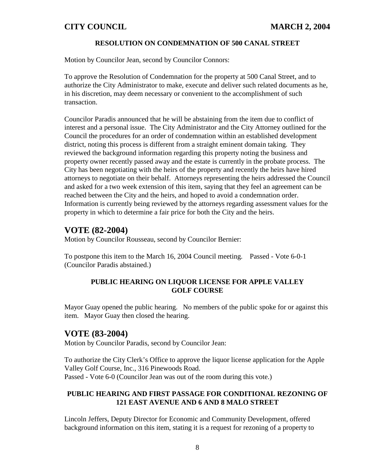#### **RESOLUTION ON CONDEMNATION OF 500 CANAL STREET**

Motion by Councilor Jean, second by Councilor Connors:

To approve the Resolution of Condemnation for the property at 500 Canal Street, and to authorize the City Administrator to make, execute and deliver such related documents as he, in his discretion, may deem necessary or convenient to the accomplishment of such transaction.

Councilor Paradis announced that he will be abstaining from the item due to conflict of interest and a personal issue. The City Administrator and the City Attorney outlined for the Council the procedures for an order of condemnation within an established development district, noting this process is different from a straight eminent domain taking. They reviewed the background information regarding this property noting the business and property owner recently passed away and the estate is currently in the probate process. The City has been negotiating with the heirs of the property and recently the heirs have hired attorneys to negotiate on their behalf. Attorneys representing the heirs addressed the Council and asked for a two week extension of this item, saying that they feel an agreement can be reached between the City and the heirs, and hoped to avoid a condemnation order. Information is currently being reviewed by the attorneys regarding assessment values for the property in which to determine a fair price for both the City and the heirs.

## **VOTE (82-2004)**

Motion by Councilor Rousseau, second by Councilor Bernier:

To postpone this item to the March 16, 2004 Council meeting. Passed - Vote 6-0-1 (Councilor Paradis abstained.)

#### **PUBLIC HEARING ON LIQUOR LICENSE FOR APPLE VALLEY GOLF COURSE**

Mayor Guay opened the public hearing. No members of the public spoke for or against this item. Mayor Guay then closed the hearing.

## **VOTE (83-2004)**

Motion by Councilor Paradis, second by Councilor Jean:

To authorize the City Clerk's Office to approve the liquor license application for the Apple Valley Golf Course, Inc., 316 Pinewoods Road. Passed - Vote 6-0 (Councilor Jean was out of the room during this vote.)

#### **PUBLIC HEARING AND FIRST PASSAGE FOR CONDITIONAL REZONING OF 121 EAST AVENUE AND 6 AND 8 MALO STREET**

Lincoln Jeffers, Deputy Director for Economic and Community Development, offered background information on this item, stating it is a request for rezoning of a property to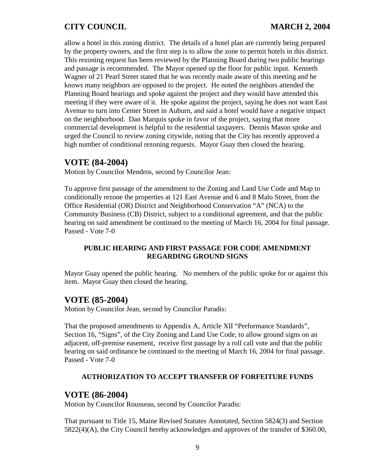allow a hotel in this zoning district. The details of a hotel plan are currently being prepared by the property owners, and the first step is to allow the zone to permit hotels in this district. This rezoning request has been reviewed by the Planning Board during two public hearings and passage is recommended. The Mayor opened up the floor for public input. Kenneth Wagner of 21 Pearl Street stated that he was recently made aware of this meeting and he knows many neighbors are opposed to the project. He noted the neighbors attended the Planning Board hearings and spoke against the project and they would have attended this meeting if they were aware of it. He spoke against the project, saying he does not want East Avenue to turn into Center Street in Auburn, and said a hotel would have a negative impact on the neighborhood. Dan Marquis spoke in favor of the project, saying that more commercial development is helpful to the residential taxpayers. Dennis Mason spoke and urged the Council to review zoning citywide, noting that the City has recently approved a high number of conditional rezoning requests. Mayor Guay then closed the hearing.

## **VOTE (84-2004)**

Motion by Councilor Mendros, second by Councilor Jean:

To approve first passage of the amendment to the Zoning and Land Use Code and Map to conditionally rezone the properties at 121 East Avenue and 6 and 8 Malo Street, from the Office Residential (OR) District and Neighborhood Conservation "A" (NCA) to the Community Business (CB) District, subject to a conditional agreement, and that the public hearing on said amendment be continued to the meeting of March 16, 2004 for final passage. Passed - Vote 7-0

## **PUBLIC HEARING AND FIRST PASSAGE FOR CODE AMENDMENT REGARDING GROUND SIGNS**

Mayor Guay opened the public hearing. No members of the public spoke for or against this item. Mayor Guay then closed the hearing.

## **VOTE (85-2004)**

Motion by Councilor Jean, second by Councilor Paradis:

That the proposed amendments to Appendix A, Article XII "Performance Standards", Section 16, "Signs", of the City Zoning and Land Use Code, to allow ground signs on an adjacent, off-premise easement, receive first passage by a roll call vote and that the public hearing on said ordinance be continued to the meeting of March 16, 2004 for final passage. Passed - Vote 7-0

#### **AUTHORIZATION TO ACCEPT TRANSFER OF FORFEITURE FUNDS**

## **VOTE (86-2004)**

Motion by Councilor Rousseau, second by Councilor Paradis:

That pursuant to Title 15, Maine Revised Statutes Annotated, Section 5824(3) and Section 5822(4)(A), the City Council hereby acknowledges and approves of the transfer of \$360.00,